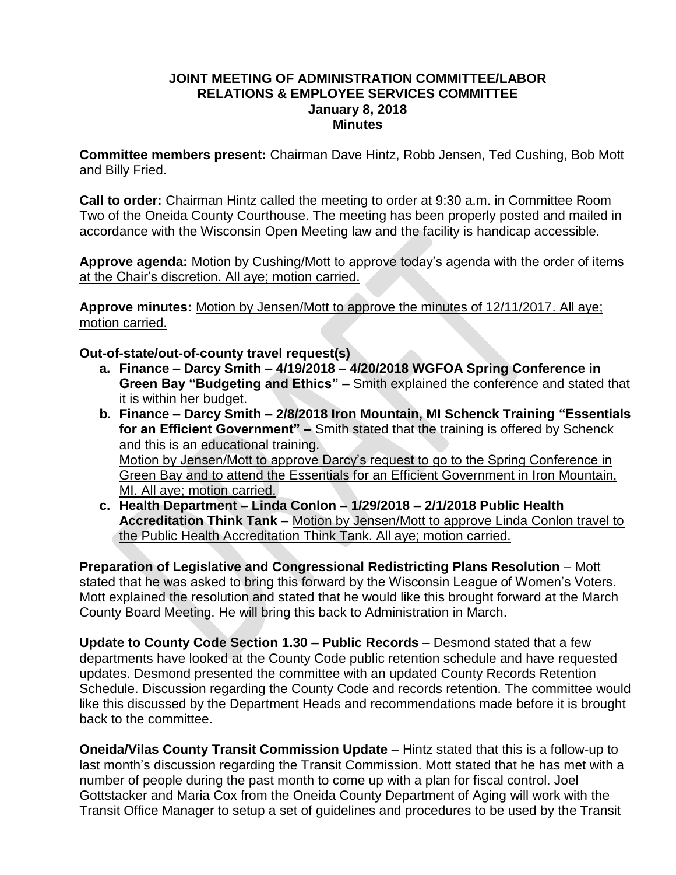#### **JOINT MEETING OF ADMINISTRATION COMMITTEE/LABOR RELATIONS & EMPLOYEE SERVICES COMMITTEE January 8, 2018 Minutes**

**Committee members present:** Chairman Dave Hintz, Robb Jensen, Ted Cushing, Bob Mott and Billy Fried.

**Call to order:** Chairman Hintz called the meeting to order at 9:30 a.m. in Committee Room Two of the Oneida County Courthouse. The meeting has been properly posted and mailed in accordance with the Wisconsin Open Meeting law and the facility is handicap accessible.

**Approve agenda:** Motion by Cushing/Mott to approve today's agenda with the order of items at the Chair's discretion. All aye; motion carried.

**Approve minutes:** Motion by Jensen/Mott to approve the minutes of 12/11/2017. All aye; motion carried.

#### **Out-of-state/out-of-county travel request(s)**

- **a. Finance – Darcy Smith – 4/19/2018 – 4/20/2018 WGFOA Spring Conference in Green Bay "Budgeting and Ethics" –** Smith explained the conference and stated that it is within her budget.
- **b. Finance – Darcy Smith – 2/8/2018 Iron Mountain, MI Schenck Training "Essentials for an Efficient Government" –** Smith stated that the training is offered by Schenck and this is an educational training. Motion by Jensen/Mott to approve Darcy's request to go to the Spring Conference in Green Bay and to attend the Essentials for an Efficient Government in Iron Mountain, MI. All aye; motion carried.
- **c. Health Department – Linda Conlon – 1/29/2018 – 2/1/2018 Public Health Accreditation Think Tank –** Motion by Jensen/Mott to approve Linda Conlon travel to the Public Health Accreditation Think Tank. All aye; motion carried.

**Preparation of Legislative and Congressional Redistricting Plans Resolution** – Mott stated that he was asked to bring this forward by the Wisconsin League of Women's Voters. Mott explained the resolution and stated that he would like this brought forward at the March County Board Meeting. He will bring this back to Administration in March.

**Update to County Code Section 1.30 – Public Records** – Desmond stated that a few departments have looked at the County Code public retention schedule and have requested updates. Desmond presented the committee with an updated County Records Retention Schedule. Discussion regarding the County Code and records retention. The committee would like this discussed by the Department Heads and recommendations made before it is brought back to the committee.

**Oneida/Vilas County Transit Commission Update** – Hintz stated that this is a follow-up to last month's discussion regarding the Transit Commission. Mott stated that he has met with a number of people during the past month to come up with a plan for fiscal control. Joel Gottstacker and Maria Cox from the Oneida County Department of Aging will work with the Transit Office Manager to setup a set of guidelines and procedures to be used by the Transit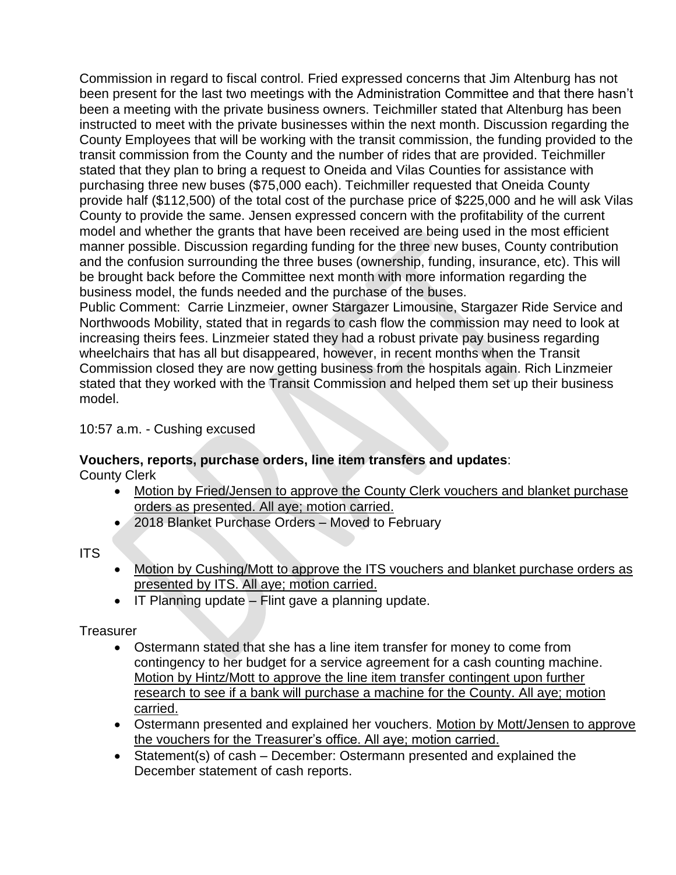Commission in regard to fiscal control. Fried expressed concerns that Jim Altenburg has not been present for the last two meetings with the Administration Committee and that there hasn't been a meeting with the private business owners. Teichmiller stated that Altenburg has been instructed to meet with the private businesses within the next month. Discussion regarding the County Employees that will be working with the transit commission, the funding provided to the transit commission from the County and the number of rides that are provided. Teichmiller stated that they plan to bring a request to Oneida and Vilas Counties for assistance with purchasing three new buses (\$75,000 each). Teichmiller requested that Oneida County provide half (\$112,500) of the total cost of the purchase price of \$225,000 and he will ask Vilas County to provide the same. Jensen expressed concern with the profitability of the current model and whether the grants that have been received are being used in the most efficient manner possible. Discussion regarding funding for the three new buses, County contribution and the confusion surrounding the three buses (ownership, funding, insurance, etc). This will be brought back before the Committee next month with more information regarding the business model, the funds needed and the purchase of the buses.

Public Comment: Carrie Linzmeier, owner Stargazer Limousine, Stargazer Ride Service and Northwoods Mobility, stated that in regards to cash flow the commission may need to look at increasing theirs fees. Linzmeier stated they had a robust private pay business regarding wheelchairs that has all but disappeared, however, in recent months when the Transit Commission closed they are now getting business from the hospitals again. Rich Linzmeier stated that they worked with the Transit Commission and helped them set up their business model.

10:57 a.m. - Cushing excused

# **Vouchers, reports, purchase orders, line item transfers and updates**:

County Clerk

- Motion by Fried/Jensen to approve the County Clerk vouchers and blanket purchase orders as presented. All aye; motion carried.
- 2018 Blanket Purchase Orders Moved to February

## ITS

- Motion by Cushing/Mott to approve the ITS vouchers and blanket purchase orders as presented by ITS. All aye; motion carried.
- $\bullet$  IT Planning update Flint gave a planning update.

## **Treasurer**

- Ostermann stated that she has a line item transfer for money to come from contingency to her budget for a service agreement for a cash counting machine. Motion by Hintz/Mott to approve the line item transfer contingent upon further research to see if a bank will purchase a machine for the County. All aye; motion carried.
- Ostermann presented and explained her vouchers. Motion by Mott/Jensen to approve the vouchers for the Treasurer's office. All aye; motion carried.
- Statement(s) of cash December: Ostermann presented and explained the December statement of cash reports.